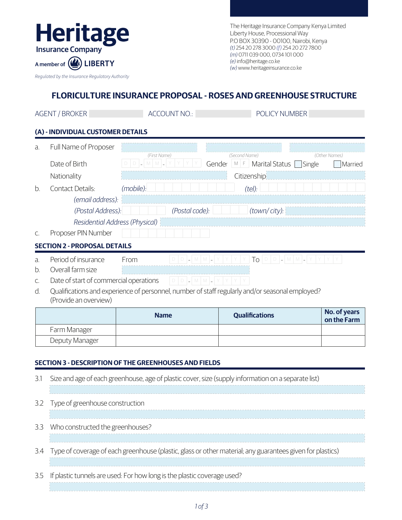

The Heritage Insurance Company Kenya Limited Liberty House, Processional Way P.O BOX 30390 - 00100, Nairobi, Kenya *(t)* 254 20 278 3000 *(f)* 254 20 272 7800 *(m)* 0711 039 000, 0734 101 000 *(e)* info@heritage.co.ke *(w)* www.heritageinsurance.co.ke

# **FLORICULTURE INSURANCE PROPOSAL - ROSES AND GREENHOUSE STRUCTURE**

ACCOUNT NO.: POLICY NUMBER

# **(A) - INDIVIDUAL CUSTOMER DETAILS**

| $\partial$ . | Full Name of Proposer          |                |        |                        |                   |
|--------------|--------------------------------|----------------|--------|------------------------|-------------------|
|              |                                | (First Name)   |        | (Second Name)          | (Other Names)     |
|              | Date of Birth                  |                | Gender | M   F   Marital Status | Single<br>Married |
|              | Nationality                    |                |        | Citizenship            |                   |
| <sub>h</sub> | Contact Details:               | (mobile):      |        | (tel):                 |                   |
|              | (email address):               |                |        |                        |                   |
|              | (Postal Address):              | (Postal code): |        | $(town/city)$ :        |                   |
|              | Residential Address (Physical) |                |        |                        |                   |
|              | Proposer PIN Number            |                |        |                        |                   |

#### **SECTION 2 - PROPOSAL DETAILS**

- a. From D <sup>D</sup> <sup>M</sup> <sup>M</sup> <sup>Y</sup> <sup>Y</sup> <sup>Y</sup> <sup>Y</sup>  $TO$  D  $\Box$  M  $M$  -  $Y$   $Y$
- b. Overall farm size
- $\Box$  M M  $\Box$ c. Date of start of commercial operations
- d. Qualifications and experience of personnel, number of staff regularly and/or seasonal employed? (Provide an overview)

|                | <b>Name</b> | <b>Qualifications</b> | No. of years<br>on the Farm |
|----------------|-------------|-----------------------|-----------------------------|
| Farm Manager   |             |                       |                             |
| Deputy Manager |             |                       |                             |

# **SECTION 3 - DESCRIPTION OF THE GREENHOUSES AND FIELDS**

| 3.1 | Size and age of each greenhouse, age of plastic cover, size (supply information on a separate list)           |
|-----|---------------------------------------------------------------------------------------------------------------|
|     |                                                                                                               |
| 3.2 | Type of greenhouse construction                                                                               |
|     |                                                                                                               |
| 3.3 | Who constructed the greenhouses?                                                                              |
|     |                                                                                                               |
|     | 3.4 Type of coverage of each greenhouse (plastic, glass or other material; any guarantees given for plastics) |
|     |                                                                                                               |
| 3.5 | If plastic tunnels are used: For how long is the plastic coverage used?                                       |
|     |                                                                                                               |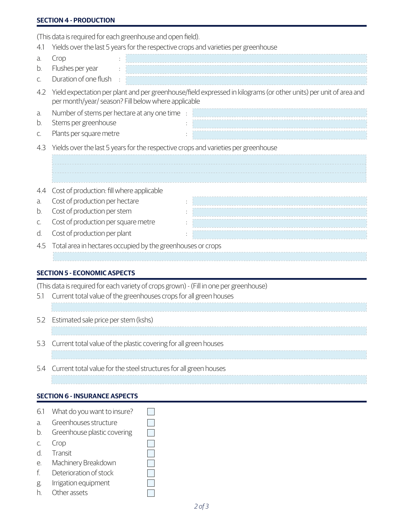#### **SECTION 4 - PRODUCTION**

(This data is required for each greenhouse and open field).

| 4.1            | Yields over the last 5 years for the respective crops and varieties per greenhouse                                                                                       |  |
|----------------|--------------------------------------------------------------------------------------------------------------------------------------------------------------------------|--|
| a.<br>b.<br>C. | Crop<br>Flushes per year<br>Duration of one flush                                                                                                                        |  |
| 4.2            | Yield expectation per plant and per greenhouse/field expressed in kilograms (or other units) per unit of area and<br>per month/year/ season? Fill below where applicable |  |
| a.<br>b.<br>C. | Number of stems per hectare at any one time :<br>Stems per greenhouse<br>Plants per square metre                                                                         |  |
| 4.3            | Yields over the last 5 years for the respective crops and varieties per greenhouse                                                                                       |  |
|                |                                                                                                                                                                          |  |
| 4.4            | Cost of production: fill where applicable                                                                                                                                |  |
| a.             | Cost of production per hectare                                                                                                                                           |  |
| b.             | Cost of production per stem                                                                                                                                              |  |
| C.             | Cost of production per square metre                                                                                                                                      |  |
| d.             | Cost of production per plant                                                                                                                                             |  |
| 4.5            | Total area in hectares occupied by the greenhouses or crops                                                                                                              |  |
|                | <b>SECTION 5 - ECONOMIC ASPECTS</b>                                                                                                                                      |  |

(This data is required for each variety of crops grown) - (Fill in one per greenhouse)

 $\overline{\mathbb{R}^n}$  $\Box$  $\Box$ 

 $\Box$ 

|  | 5.1 Current total value of the greenhouses crops for all green houses |
|--|-----------------------------------------------------------------------|
|  |                                                                       |
|  | 5.2 Estimated sale price per stem (kshs)                              |
|  |                                                                       |
|  | 5.3 Current total value of the plastic covering for all green houses  |
|  |                                                                       |
|  | 5.4 Current total value for the steel structures for all green houses |
|  |                                                                       |

#### **SECTION 6 - INSURANCE ASPECTS**

- 6.1 What do you want to insure?
- a. Greenhouses structure
- b. Greenhouse plastic covering
- c. Crop
- d. Transit
- e. Machinery Breakdown
- f. Deterioration of stock
- g. Irrigation equipment
- h. Other assets